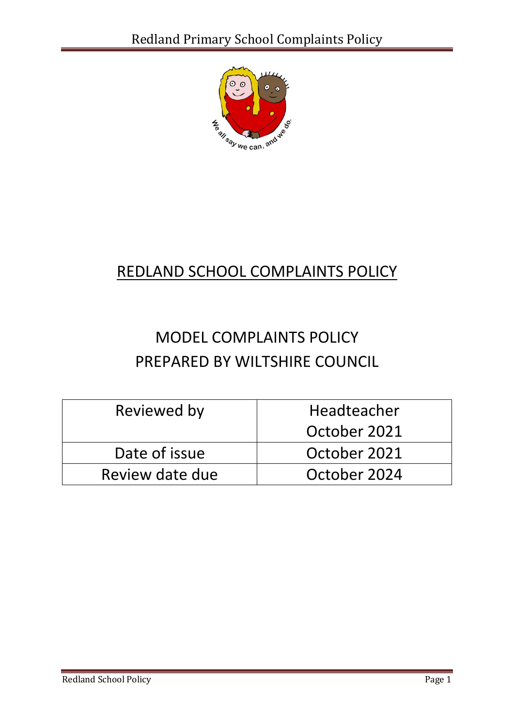

# REDLAND SCHOOL COMPLAINTS POLICY

# MODEL COMPLAINTS POLICY PREPARED BY WILTSHIRE COUNCIL

| Reviewed by     | <b>Headteacher</b> |
|-----------------|--------------------|
|                 | October 2021       |
| Date of issue   | October 2021       |
| Review date due | October 2024       |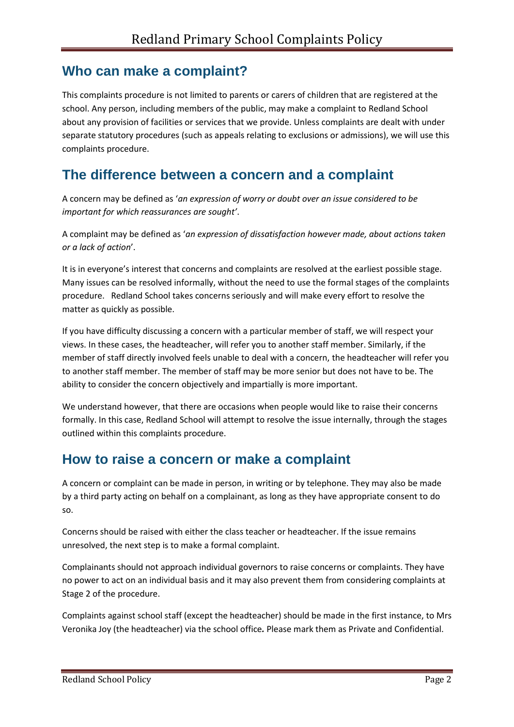### **Who can make a complaint?**

This complaints procedure is not limited to parents or carers of children that are registered at the school. Any person, including members of the public, may make a complaint to Redland School about any provision of facilities or services that we provide. Unless complaints are dealt with under separate statutory procedures (such as appeals relating to exclusions or admissions), we will use this complaints procedure.

### **The difference between a concern and a complaint**

A concern may be defined as '*an expression of worry or doubt over an issue considered to be important for which reassurances are sought'*.

A complaint may be defined as '*an expression of dissatisfaction however made, about actions taken or a lack of action*'.

It is in everyone's interest that concerns and complaints are resolved at the earliest possible stage. Many issues can be resolved informally, without the need to use the formal stages of the complaints procedure. Redland School takes concerns seriously and will make every effort to resolve the matter as quickly as possible.

If you have difficulty discussing a concern with a particular member of staff, we will respect your views. In these cases, the headteacher, will refer you to another staff member. Similarly, if the member of staff directly involved feels unable to deal with a concern, the headteacher will refer you to another staff member. The member of staff may be more senior but does not have to be. The ability to consider the concern objectively and impartially is more important.

We understand however, that there are occasions when people would like to raise their concerns formally. In this case, Redland School will attempt to resolve the issue internally, through the stages outlined within this complaints procedure.

### **How to raise a concern or make a complaint**

A concern or complaint can be made in person, in writing or by telephone. They may also be made by a third party acting on behalf on a complainant, as long as they have appropriate consent to do so.

Concerns should be raised with either the class teacher or headteacher. If the issue remains unresolved, the next step is to make a formal complaint.

Complainants should not approach individual governors to raise concerns or complaints. They have no power to act on an individual basis and it may also prevent them from considering complaints at Stage 2 of the procedure.

Complaints against school staff (except the headteacher) should be made in the first instance, to Mrs Veronika Joy (the headteacher) via the school office*.* Please mark them as Private and Confidential.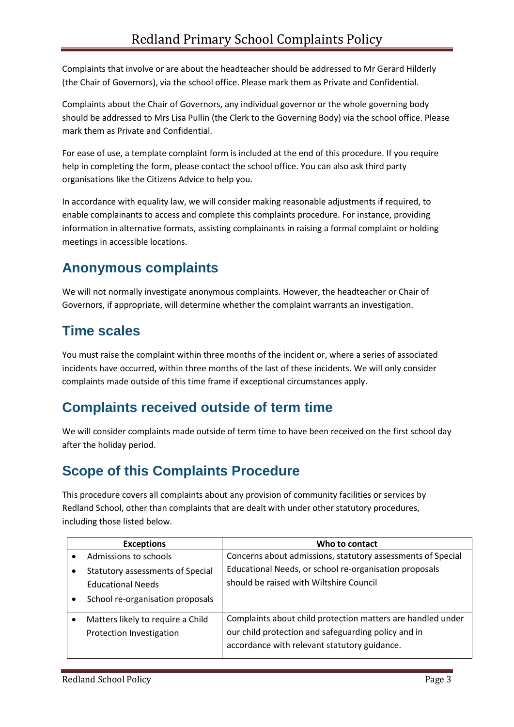Complaints that involve or are about the headteacher should be addressed to Mr Gerard Hilderly (the Chair of Governors), via the school office. Please mark them as Private and Confidential.

Complaints about the Chair of Governors, any individual governor or the whole governing body should be addressed to Mrs Lisa Pullin (the Clerk to the Governing Body) via the school office. Please mark them as Private and Confidential.

For ease of use, a template complaint form is included at the end of this procedure. If you require help in completing the form, please contact the school office. You can also ask third party organisations like the Citizens Advice to help you.

In accordance with equality law, we will consider making reasonable adjustments if required, to enable complainants to access and complete this complaints procedure. For instance, providing information in alternative formats, assisting complainants in raising a formal complaint or holding meetings in accessible locations.

## **Anonymous complaints**

We will not normally investigate anonymous complaints. However, the headteacher or Chair of Governors, if appropriate, will determine whether the complaint warrants an investigation.

### **Time scales**

You must raise the complaint within three months of the incident or, where a series of associated incidents have occurred, within three months of the last of these incidents. We will only consider complaints made outside of this time frame if exceptional circumstances apply.

### **Complaints received outside of term time**

We will consider complaints made outside of term time to have been received on the first school day after the holiday period.

### **Scope of this Complaints Procedure**

This procedure covers all complaints about any provision of community facilities or services by Redland School, other than complaints that are dealt with under other statutory procedures, including those listed below.

| <b>Exceptions</b>                 | Who to contact                                              |
|-----------------------------------|-------------------------------------------------------------|
| Admissions to schools             | Concerns about admissions, statutory assessments of Special |
| Statutory assessments of Special  | Educational Needs, or school re-organisation proposals      |
| <b>Educational Needs</b>          | should be raised with Wiltshire Council                     |
| School re-organisation proposals  |                                                             |
| Matters likely to require a Child | Complaints about child protection matters are handled under |
| Protection Investigation          | our child protection and safeguarding policy and in         |
|                                   | accordance with relevant statutory guidance.                |
|                                   |                                                             |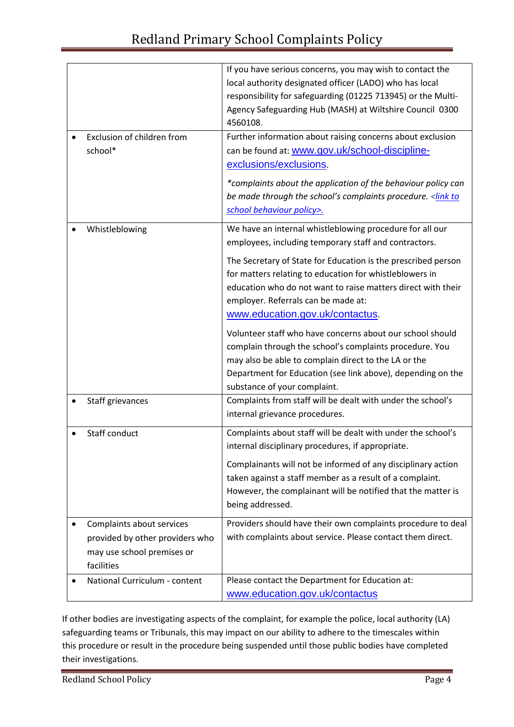|                                 | If you have serious concerns, you may wish to contact the               |
|---------------------------------|-------------------------------------------------------------------------|
|                                 | local authority designated officer (LADO) who has local                 |
|                                 | responsibility for safeguarding (01225 713945) or the Multi-            |
|                                 | Agency Safeguarding Hub (MASH) at Wiltshire Council 0300                |
|                                 | 4560108.                                                                |
| Exclusion of children from      | Further information about raising concerns about exclusion              |
| school*                         | can be found at: www.gov.uk/school-discipline-                          |
|                                 | exclusions/exclusions.                                                  |
|                                 | *complaints about the application of the behaviour policy can           |
|                                 | be made through the school's complaints procedure. <link th="" to<=""/> |
|                                 | school behaviour policy>.                                               |
|                                 |                                                                         |
| Whistleblowing                  | We have an internal whistleblowing procedure for all our                |
|                                 | employees, including temporary staff and contractors.                   |
|                                 | The Secretary of State for Education is the prescribed person           |
|                                 | for matters relating to education for whistleblowers in                 |
|                                 | education who do not want to raise matters direct with their            |
|                                 | employer. Referrals can be made at:                                     |
|                                 | www.education.gov.uk/contactus.                                         |
|                                 |                                                                         |
|                                 | Volunteer staff who have concerns about our school should               |
|                                 | complain through the school's complaints procedure. You                 |
|                                 | may also be able to complain direct to the LA or the                    |
|                                 | Department for Education (see link above), depending on the             |
|                                 | substance of your complaint.                                            |
| Staff grievances                | Complaints from staff will be dealt with under the school's             |
|                                 | internal grievance procedures.                                          |
| Staff conduct                   | Complaints about staff will be dealt with under the school's            |
|                                 | internal disciplinary procedures, if appropriate.                       |
|                                 | Complainants will not be informed of any disciplinary action            |
|                                 | taken against a staff member as a result of a complaint.                |
|                                 | However, the complainant will be notified that the matter is            |
|                                 | being addressed.                                                        |
|                                 |                                                                         |
| Complaints about services       | Providers should have their own complaints procedure to deal            |
| provided by other providers who | with complaints about service. Please contact them direct.              |
| may use school premises or      |                                                                         |
| facilities                      |                                                                         |
| National Curriculum - content   | Please contact the Department for Education at:                         |
|                                 | www.education.gov.uk/contactus                                          |

If other bodies are investigating aspects of the complaint, for example the police, local authority (LA) safeguarding teams or Tribunals, this may impact on our ability to adhere to the timescales within this procedure or result in the procedure being suspended until those public bodies have completed their investigations.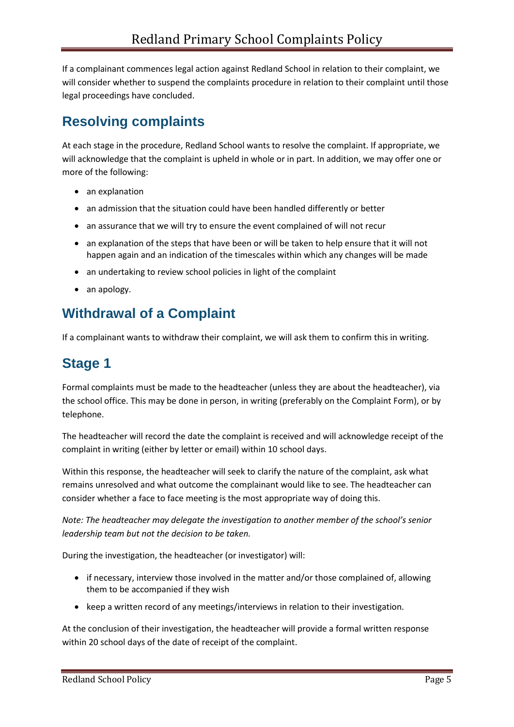If a complainant commences legal action against Redland School in relation to their complaint, we will consider whether to suspend the complaints procedure in relation to their complaint until those legal proceedings have concluded.

### **Resolving complaints**

At each stage in the procedure, Redland School wants to resolve the complaint. If appropriate, we will acknowledge that the complaint is upheld in whole or in part. In addition, we may offer one or more of the following:

- an explanation
- an admission that the situation could have been handled differently or better
- an assurance that we will try to ensure the event complained of will not recur
- an explanation of the steps that have been or will be taken to help ensure that it will not happen again and an indication of the timescales within which any changes will be made
- an undertaking to review school policies in light of the complaint
- an apology.

### **Withdrawal of a Complaint**

If a complainant wants to withdraw their complaint, we will ask them to confirm this in writing.

### **Stage 1**

Formal complaints must be made to the headteacher (unless they are about the headteacher), via the school office. This may be done in person, in writing (preferably on the Complaint Form), or by telephone.

The headteacher will record the date the complaint is received and will acknowledge receipt of the complaint in writing (either by letter or email) within 10 school days.

Within this response, the headteacher will seek to clarify the nature of the complaint, ask what remains unresolved and what outcome the complainant would like to see. The headteacher can consider whether a face to face meeting is the most appropriate way of doing this.

*Note: The headteacher may delegate the investigation to another member of the school's senior leadership team but not the decision to be taken.*

During the investigation, the headteacher (or investigator) will:

- if necessary, interview those involved in the matter and/or those complained of, allowing them to be accompanied if they wish
- keep a written record of any meetings/interviews in relation to their investigation.

At the conclusion of their investigation, the headteacher will provide a formal written response within 20 school days of the date of receipt of the complaint.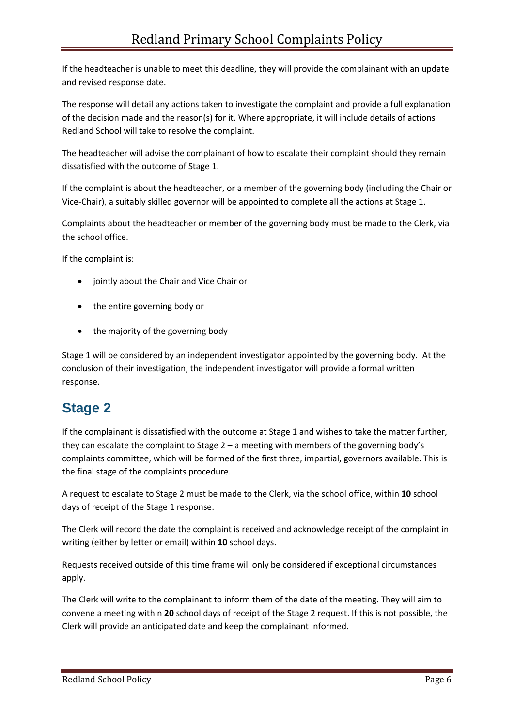If the headteacher is unable to meet this deadline, they will provide the complainant with an update and revised response date.

The response will detail any actions taken to investigate the complaint and provide a full explanation of the decision made and the reason(s) for it. Where appropriate, it will include details of actions Redland School will take to resolve the complaint.

The headteacher will advise the complainant of how to escalate their complaint should they remain dissatisfied with the outcome of Stage 1.

If the complaint is about the headteacher, or a member of the governing body (including the Chair or Vice-Chair), a suitably skilled governor will be appointed to complete all the actions at Stage 1.

Complaints about the headteacher or member of the governing body must be made to the Clerk, via the school office.

If the complaint is:

- jointly about the Chair and Vice Chair or
- the entire governing body or
- the majority of the governing body

Stage 1 will be considered by an independent investigator appointed by the governing body. At the conclusion of their investigation, the independent investigator will provide a formal written response.

### **Stage 2**

If the complainant is dissatisfied with the outcome at Stage 1 and wishes to take the matter further, they can escalate the complaint to Stage 2 – a meeting with members of the governing body's complaints committee, which will be formed of the first three, impartial, governors available. This is the final stage of the complaints procedure.

A request to escalate to Stage 2 must be made to the Clerk, via the school office, within **10** school days of receipt of the Stage 1 response.

The Clerk will record the date the complaint is received and acknowledge receipt of the complaint in writing (either by letter or email) within **10** school days.

Requests received outside of this time frame will only be considered if exceptional circumstances apply.

The Clerk will write to the complainant to inform them of the date of the meeting. They will aim to convene a meeting within **20** school days of receipt of the Stage 2 request. If this is not possible, the Clerk will provide an anticipated date and keep the complainant informed.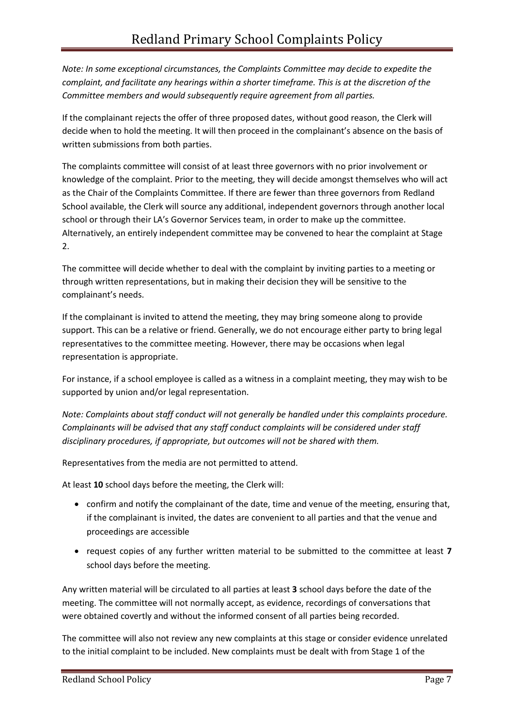*Note: In some exceptional circumstances, the Complaints Committee may decide to expedite the complaint, and facilitate any hearings within a shorter timeframe. This is at the discretion of the Committee members and would subsequently require agreement from all parties.*

If the complainant rejects the offer of three proposed dates, without good reason, the Clerk will decide when to hold the meeting. It will then proceed in the complainant's absence on the basis of written submissions from both parties.

The complaints committee will consist of at least three governors with no prior involvement or knowledge of the complaint. Prior to the meeting, they will decide amongst themselves who will act as the Chair of the Complaints Committee. If there are fewer than three governors from Redland School available, the Clerk will source any additional, independent governors through another local school or through their LA's Governor Services team, in order to make up the committee. Alternatively, an entirely independent committee may be convened to hear the complaint at Stage 2.

The committee will decide whether to deal with the complaint by inviting parties to a meeting or through written representations, but in making their decision they will be sensitive to the complainant's needs.

If the complainant is invited to attend the meeting, they may bring someone along to provide support. This can be a relative or friend. Generally, we do not encourage either party to bring legal representatives to the committee meeting. However, there may be occasions when legal representation is appropriate.

For instance, if a school employee is called as a witness in a complaint meeting, they may wish to be supported by union and/or legal representation.

*Note: Complaints about staff conduct will not generally be handled under this complaints procedure. Complainants will be advised that any staff conduct complaints will be considered under staff disciplinary procedures, if appropriate, but outcomes will not be shared with them.* 

Representatives from the media are not permitted to attend.

At least **10** school days before the meeting, the Clerk will:

- confirm and notify the complainant of the date, time and venue of the meeting, ensuring that, if the complainant is invited, the dates are convenient to all parties and that the venue and proceedings are accessible
- request copies of any further written material to be submitted to the committee at least **7** school days before the meeting.

Any written material will be circulated to all parties at least **3** school days before the date of the meeting. The committee will not normally accept, as evidence, recordings of conversations that were obtained covertly and without the informed consent of all parties being recorded.

The committee will also not review any new complaints at this stage or consider evidence unrelated to the initial complaint to be included. New complaints must be dealt with from Stage 1 of the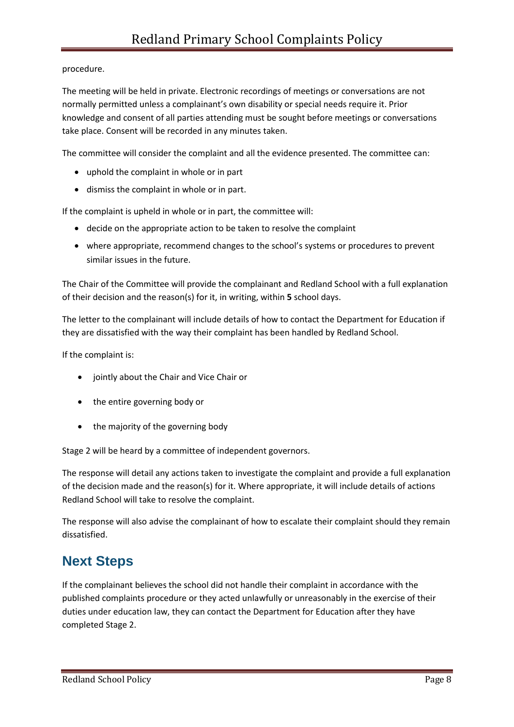#### procedure.

The meeting will be held in private. Electronic recordings of meetings or conversations are not normally permitted unless a complainant's own disability or special needs require it. Prior knowledge and consent of all parties attending must be sought before meetings or conversations take place. Consent will be recorded in any minutes taken.

The committee will consider the complaint and all the evidence presented. The committee can:

- uphold the complaint in whole or in part
- dismiss the complaint in whole or in part.

If the complaint is upheld in whole or in part, the committee will:

- decide on the appropriate action to be taken to resolve the complaint
- where appropriate, recommend changes to the school's systems or procedures to prevent similar issues in the future.

The Chair of the Committee will provide the complainant and Redland School with a full explanation of their decision and the reason(s) for it, in writing, within **5** school days.

The letter to the complainant will include details of how to contact the Department for Education if they are dissatisfied with the way their complaint has been handled by Redland School.

If the complaint is:

- jointly about the Chair and Vice Chair or
- the entire governing body or
- the majority of the governing body

Stage 2 will be heard by a committee of independent governors.

The response will detail any actions taken to investigate the complaint and provide a full explanation of the decision made and the reason(s) for it. Where appropriate, it will include details of actions Redland School will take to resolve the complaint.

The response will also advise the complainant of how to escalate their complaint should they remain dissatisfied.

### **Next Steps**

If the complainant believes the school did not handle their complaint in accordance with the published complaints procedure or they acted unlawfully or unreasonably in the exercise of their duties under education law, they can contact the Department for Education after they have completed Stage 2.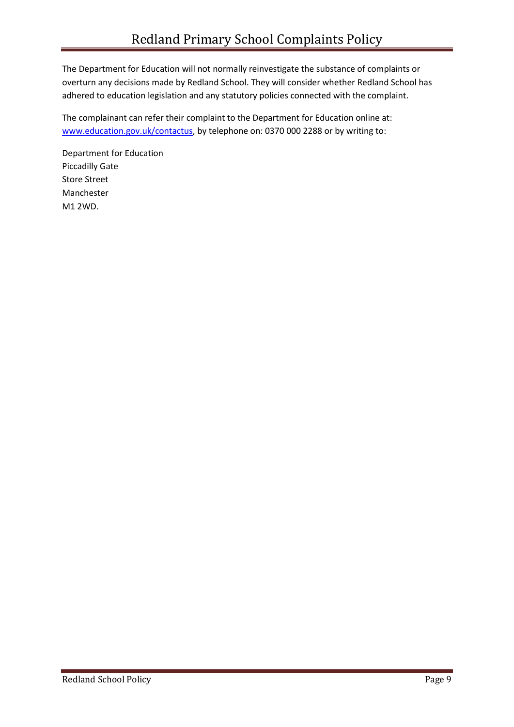The Department for Education will not normally reinvestigate the substance of complaints or overturn any decisions made by Redland School. They will consider whether Redland School has adhered to education legislation and any statutory policies connected with the complaint.

The complainant can refer their complaint to the Department for Education online at: [www.education.gov.uk/contactus,](http://www.education.gov.uk/contactus) by telephone on: 0370 000 2288 or by writing to:

Department for Education Piccadilly Gate Store Street Manchester M1 2WD.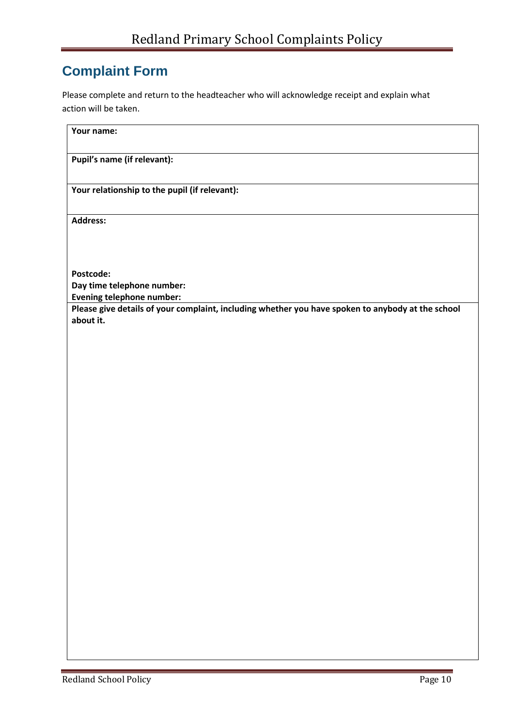### **Complaint Form**

Please complete and return to the headteacher who will acknowledge receipt and explain what action will be taken.

| Your name:                                                                                        |
|---------------------------------------------------------------------------------------------------|
| Pupil's name (if relevant):                                                                       |
| Your relationship to the pupil (if relevant):                                                     |
| <b>Address:</b>                                                                                   |
|                                                                                                   |
| Postcode:                                                                                         |
| Day time telephone number:                                                                        |
| <b>Evening telephone number:</b>                                                                  |
| Please give details of your complaint, including whether you have spoken to anybody at the school |
| about it.                                                                                         |
|                                                                                                   |
|                                                                                                   |
|                                                                                                   |
|                                                                                                   |
|                                                                                                   |
|                                                                                                   |
|                                                                                                   |
|                                                                                                   |
|                                                                                                   |
|                                                                                                   |
|                                                                                                   |
|                                                                                                   |
|                                                                                                   |
|                                                                                                   |
|                                                                                                   |
|                                                                                                   |
|                                                                                                   |
|                                                                                                   |
|                                                                                                   |
|                                                                                                   |
|                                                                                                   |
|                                                                                                   |
|                                                                                                   |
|                                                                                                   |
|                                                                                                   |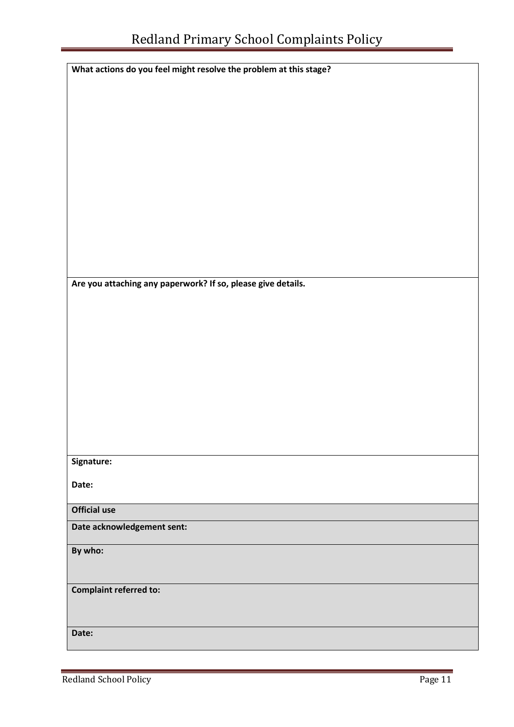| What actions do you feel might resolve the problem at this stage? |
|-------------------------------------------------------------------|
|                                                                   |
|                                                                   |
|                                                                   |
|                                                                   |
|                                                                   |
|                                                                   |
|                                                                   |
|                                                                   |
|                                                                   |
|                                                                   |
|                                                                   |
|                                                                   |
|                                                                   |
|                                                                   |
|                                                                   |
|                                                                   |
|                                                                   |
| Are you attaching any paperwork? If so, please give details.      |
|                                                                   |
|                                                                   |
|                                                                   |
|                                                                   |
|                                                                   |
|                                                                   |
|                                                                   |
|                                                                   |
|                                                                   |
|                                                                   |
|                                                                   |
|                                                                   |
|                                                                   |
| Signature:                                                        |
|                                                                   |
| Date:                                                             |
|                                                                   |
| Official use                                                      |
|                                                                   |
| Date acknowledgement sent:                                        |
| By who:                                                           |
|                                                                   |
|                                                                   |
|                                                                   |
| <b>Complaint referred to:</b>                                     |
|                                                                   |
|                                                                   |
| Date:                                                             |
|                                                                   |
|                                                                   |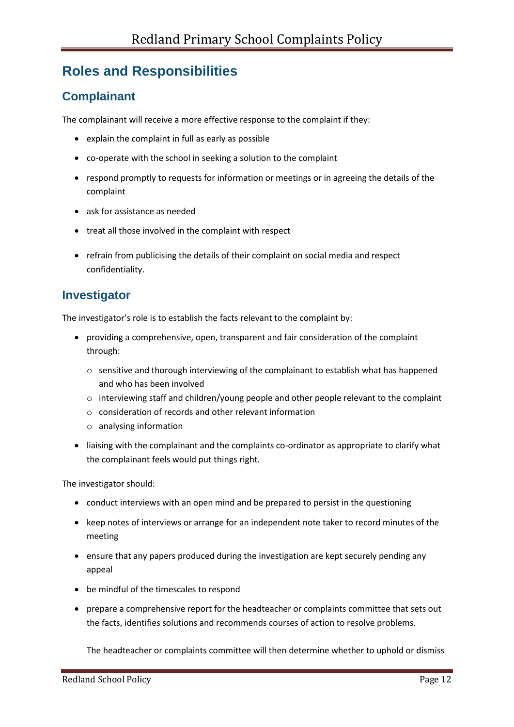### **Roles and Responsibilities**

#### **Complainant**

The complainant will receive a more effective response to the complaint if they:

- explain the complaint in full as early as possible
- co-operate with the school in seeking a solution to the complaint
- respond promptly to requests for information or meetings or in agreeing the details of the complaint
- ask for assistance as needed
- treat all those involved in the complaint with respect
- refrain from publicising the details of their complaint on social media and respect confidentiality.

#### **Investigator**

The investigator's role is to establish the facts relevant to the complaint by:

- providing a comprehensive, open, transparent and fair consideration of the complaint through:
	- $\circ$  sensitive and thorough interviewing of the complainant to establish what has happened and who has been involved
	- o interviewing staff and children/young people and other people relevant to the complaint
	- o consideration of records and other relevant information
	- o analysing information
- liaising with the complainant and the complaints co-ordinator as appropriate to clarify what the complainant feels would put things right.

The investigator should:

- conduct interviews with an open mind and be prepared to persist in the questioning
- keep notes of interviews or arrange for an independent note taker to record minutes of the meeting
- ensure that any papers produced during the investigation are kept securely pending any appeal
- be mindful of the timescales to respond
- prepare a comprehensive report for the headteacher or complaints committee that sets out the facts, identifies solutions and recommends courses of action to resolve problems.

The headteacher or complaints committee will then determine whether to uphold or dismiss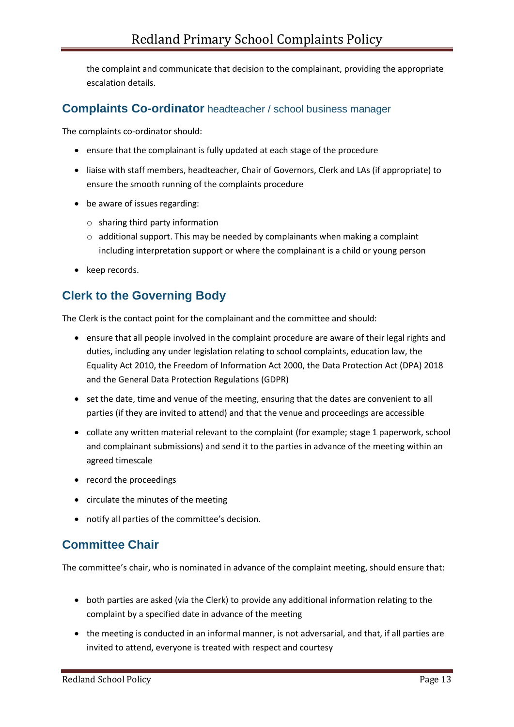the complaint and communicate that decision to the complainant, providing the appropriate escalation details.

#### **Complaints Co-ordinator** headteacher / school business manager

The complaints co-ordinator should:

- ensure that the complainant is fully updated at each stage of the procedure
- liaise with staff members, headteacher, Chair of Governors, Clerk and LAs (if appropriate) to ensure the smooth running of the complaints procedure
- be aware of issues regarding:
	- o sharing third party information
	- $\circ$  additional support. This may be needed by complainants when making a complaint including interpretation support or where the complainant is a child or young person
- keep records.

#### **Clerk to the Governing Body**

The Clerk is the contact point for the complainant and the committee and should:

- ensure that all people involved in the complaint procedure are aware of their legal rights and duties, including any under legislation relating to school complaints, education law, the Equality Act 2010, the Freedom of Information Act 2000, the Data Protection Act (DPA) 2018 and the General Data Protection Regulations (GDPR)
- set the date, time and venue of the meeting, ensuring that the dates are convenient to all parties (if they are invited to attend) and that the venue and proceedings are accessible
- collate any written material relevant to the complaint (for example; stage 1 paperwork, school and complainant submissions) and send it to the parties in advance of the meeting within an agreed timescale
- record the proceedings
- circulate the minutes of the meeting
- notify all parties of the committee's decision.

#### **Committee Chair**

The committee's chair, who is nominated in advance of the complaint meeting, should ensure that:

- both parties are asked (via the Clerk) to provide any additional information relating to the complaint by a specified date in advance of the meeting
- the meeting is conducted in an informal manner, is not adversarial, and that, if all parties are invited to attend, everyone is treated with respect and courtesy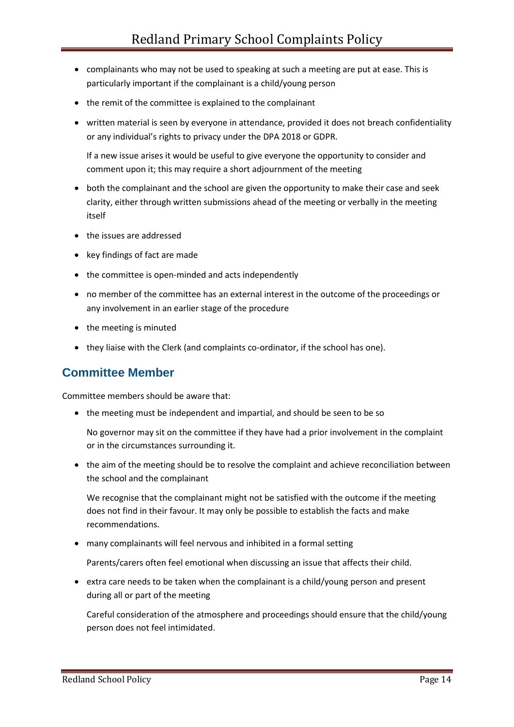- complainants who may not be used to speaking at such a meeting are put at ease. This is particularly important if the complainant is a child/young person
- the remit of the committee is explained to the complainant
- written material is seen by everyone in attendance, provided it does not breach confidentiality or any individual's rights to privacy under the DPA 2018 or GDPR.

If a new issue arises it would be useful to give everyone the opportunity to consider and comment upon it; this may require a short adjournment of the meeting

- both the complainant and the school are given the opportunity to make their case and seek clarity, either through written submissions ahead of the meeting or verbally in the meeting itself
- the issues are addressed
- key findings of fact are made
- the committee is open-minded and acts independently
- no member of the committee has an external interest in the outcome of the proceedings or any involvement in an earlier stage of the procedure
- the meeting is minuted
- they liaise with the Clerk (and complaints co-ordinator, if the school has one).

#### **Committee Member**

Committee members should be aware that:

• the meeting must be independent and impartial, and should be seen to be so

No governor may sit on the committee if they have had a prior involvement in the complaint or in the circumstances surrounding it.

• the aim of the meeting should be to resolve the complaint and achieve reconciliation between the school and the complainant

We recognise that the complainant might not be satisfied with the outcome if the meeting does not find in their favour. It may only be possible to establish the facts and make recommendations.

• many complainants will feel nervous and inhibited in a formal setting

Parents/carers often feel emotional when discussing an issue that affects their child.

• extra care needs to be taken when the complainant is a child/young person and present during all or part of the meeting

Careful consideration of the atmosphere and proceedings should ensure that the child/young person does not feel intimidated.